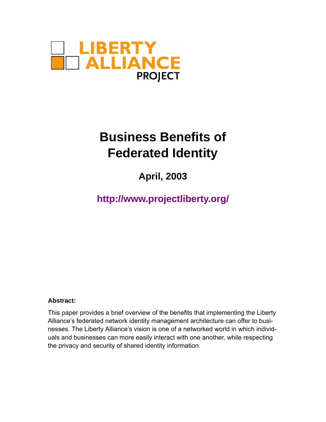

# **Business Benefits of Federated Identity**

**April, 2003**

**http://www.projectliberty.org/**

#### **Abstract:**

This paper provides a brief overview of the benefits that implementing the Liberty Alliance's federated network identity management architecture can offer to businesses. The Liberty Alliance's vision is one of a networked world in which individuals and businesses can more easily interact with one another, while respecting the privacy and security of shared identity information.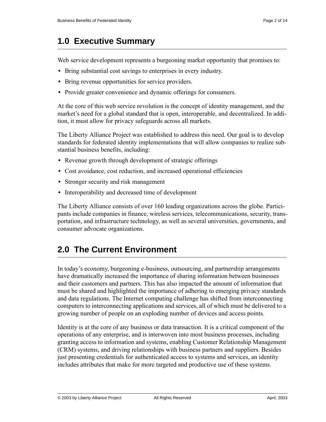# **1.0 Executive Summary**

Web service development represents a burgeoning market opportunity that promises to:

- **•** Bring substantial cost savings to enterprises in every industry.
- **•** Bring revenue opportunities for service providers.
- **•** Provide greater convenience and dynamic offerings for consumers.

At the core of this web service revolution is the concept of identity management, and the market's need for a global standard that is open, interoperable, and decentralized. In addition, it must allow for privacy safeguards across all markets.

The Liberty Alliance Project was established to address this need. Our goal is to develop standards for federated identity implementations that will allow companies to realize substantial business benefits, including:

- **•** Revenue growth through development of strategic offerings
- Cost avoidance, cost reduction, and increased operational efficiencies
- **•** Stronger security and risk management
- **•** Interoperability and decreased time of development

The Liberty Alliance consists of over 160 leading organizations across the globe. Participants include companies in finance, wireless services, telecommunications, security, transportation, and infrastructure technology, as well as several universities, governments, and consumer advocate organizations.

## **2.0 The Current Environment**

In today's economy, burgeoning e-business, outsourcing, and partnership arrangements have dramatically increased the importance of sharing information between businesses and their customers and partners. This has also impacted the amount of information that must be shared and highlighted the importance of adhering to emerging privacy standards and data regulations. The Internet computing challenge has shifted from interconnecting computers to interconnecting applications and services, all of which must be delivered to a growing number of people on an exploding number of devices and access points.

Identity is at the core of any business or data transaction. It is a critical component of the operations of any enterprise, and is interwoven into most business processes, including granting access to information and systems, enabling Customer Relationship Management (CRM) systems, and driving relationships with business partners and suppliers. Besides just presenting credentials for authenticated access to systems and services, an identity includes attributes that make for more targeted and productive use of these systems.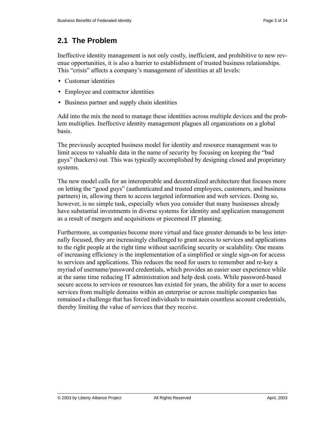### **2.1 The Problem**

Ineffective identity management is not only costly, inefficient, and prohibitive to new revenue opportunities, it is also a barrier to establishment of trusted business relationships. This "crisis" affects a company's management of identities at all levels:

- **•** Customer identities
- **•** Employee and contractor identities
- **•** Business partner and supply chain identities

Add into the mix the need to manage these identities across multiple devices and the problem multiplies. Ineffective identity management plagues all organizations on a global basis.

The previously accepted business model for identity and resource management was to limit access to valuable data in the name of security by focusing on keeping the "bad guys" (hackers) out. This was typically accomplished by designing closed and proprietary systems.

The new model calls for an interoperable and decentralized architecture that focuses more on letting the "good guys" (authenticated and trusted employees, customers, and business partners) in, allowing them to access targeted information and web services. Doing so, however, is no simple task, especially when you consider that many businesses already have substantial investments in diverse systems for identity and application management as a result of mergers and acquisitions or piecemeal IT planning.

Furthermore, as companies become more virtual and face greater demands to be less internally focused, they are increasingly challenged to grant access to services and applications to the right people at the right time without sacrificing security or scalability. One means of increasing efficiency is the implementation of a simplified or single sign-on for access to services and applications. This reduces the need for users to remember and re-key a myriad of username/password credentials, which provides an easier user experience while at the same time reducing IT administration and help desk costs. While password-based secure access to services or resources has existed for years, the ability for a user to access services from multiple domains within an enterprise or across multiple companies has remained a challenge that has forced individuals to maintain countless account credentials, thereby limiting the value of services that they receive.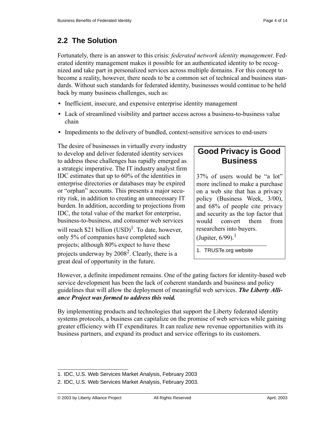### **2.2 The Solution**

Fortunately, there is an answer to this crisis: *federated network identity management*. Federated identity management makes it possible for an authenticated identity to be recognized and take part in personalized services across multiple domains. For this concept to become a reality, however, there needs to be a common set of technical and business standards. Without such standards for federated identity, businesses would continue to be held back by many business challenges, such as:

- Inefficient, insecure, and expensive enterprise identity management
- **•** Lack of streamlined visibility and partner access across a business-to-business value chain
- **•** Impediments to the delivery of bundled, context-sensitive services to end-users

The desire of businesses in virtually every industry to develop and deliver federated identity services to address these challenges has rapidly emerged as a strategic imperative. The IT industry analyst firm IDC estimates that up to 60% of the identities in enterprise directories or databases may be expired or "orphan" accounts. This presents a major security risk, in addition to creating an unnecessary IT burden. In addition, according to projections from IDC, the total value of the market for enterprise, business-to-business, and consumer web services will reach \$21 billion  $(USD)^1$ . To date, however, only 5% of companies have completed such projects; although 80% expect to have these projects underway by  $2008^2$ . Clearly, there is a great deal of opportunity in the future.

### **Good Privacy is Good Business**

37% of users would be "a lot" more inclined to make a purchase on a web site that has a privacy policy (Business Week, 3/00), and 68% of people cite privacy and security as the top factor that would convert them from researchers into buyers.

(Jupiter,  $6/99$ ).<sup>1</sup>

1. TRUSTe.org website

However, a definite impediment remains. One of the gating factors for identity-based web service development has been the lack of coherent standards and business and policy guidelines that will allow the deployment of meaningful web services. *The Liberty Alliance Project was formed to address this void.*

By implementing products and technologies that support the Liberty federated identity systems protocols, a business can capitalize on the promise of web services while gaining greater efficiency with IT expenditures. It can realize new revenue opportunities with its business partners, and expand its product and service offerings to its customers.

<sup>1.</sup> IDC, U.S. Web Services Market Analysis, February 2003

<sup>2.</sup> IDC, U.S. Web Services Market Analysis, February 2003.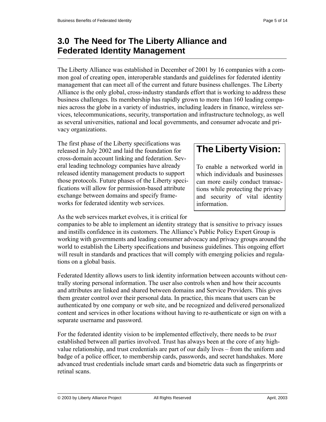### **3.0 The Need for The Liberty Alliance and Federated Identity Management**

The Liberty Alliance was established in December of 2001 by 16 companies with a common goal of creating open, interoperable standards and guidelines for federated identity management that can meet all of the current and future business challenges. The Liberty Alliance is the only global, cross-industry standards effort that is working to address these business challenges. Its membership has rapidly grown to more than 160 leading companies across the globe in a variety of industries, including leaders in finance, wireless services, telecommunications, security, transportation and infrastructure technology, as well as several universities, national and local governments, and consumer advocate and privacy organizations.

The first phase of the Liberty specifications was released in July 2002 and laid the foundation for cross-domain account linking and federation. Several leading technology companies have already released identity management products to support those protocols. Future phases of the Liberty specifications will allow for permission-based attribute exchange between domains and specify frameworks for federated identity web services.

# **The Liberty Vision:**

To enable a networked world in which individuals and businesses can more easily conduct transactions while protecting the privacy and security of vital identity information.

As the web services market evolves, it is critical for

companies to be able to implement an identity strategy that is sensitive to privacy issues and instills confidence in its customers. The Alliance's Public Policy Expert Group is working with governments and leading consumer advocacy and privacy groups around the world to establish the Liberty specifications and business guidelines. This ongoing effort will result in standards and practices that will comply with emerging policies and regulations on a global basis.

Federated Identity allows users to link identity information between accounts without centrally storing personal information. The user also controls when and how their accounts and attributes are linked and shared between domains and Service Providers. This gives them greater control over their personal data. In practice, this means that users can be authenticated by one company or web site, and be recognized and delivered personalized content and services in other locations without having to re-authenticate or sign on with a separate username and password.

For the federated identity vision to be implemented effectively, there needs to be *trust* established between all parties involved. Trust has always been at the core of any highvalue relationship, and trust credentials are part of our daily lives – from the uniform and badge of a police officer, to membership cards, passwords, and secret handshakes. More advanced trust credentials include smart cards and biometric data such as fingerprints or retinal scans.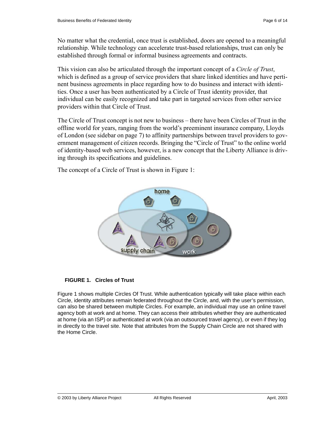No matter what the credential, once trust is established, doors are opened to a meaningful relationship. While technology can accelerate trust-based relationships, trust can only be established through formal or informal business agreements and contracts.

This vision can also be articulated through the important concept of a *Circle of Trust*, which is defined as a group of service providers that share linked identities and have pertinent business agreements in place regarding how to do business and interact with identities. Once a user has been authenticated by a Circle of Trust identity provider, that individual can be easily recognized and take part in targeted services from other service providers within that Circle of Trust.

The Circle of Trust concept is not new to business – there have been Circles of Trust in the offline world for years, ranging from the world's preeminent insurance company, Lloyds of London (see sidebar on [page 7\)](#page-6-0) to affinity partnerships between travel providers to government management of citizen records. Bringing the "Circle of Trust" to the online world of identity-based web services, however, is a new concept that the Liberty Alliance is driving through its specifications and guidelines.

The concept of a Circle of Trust is shown in [Figure 1](#page-5-0):



#### <span id="page-5-0"></span>**FIGURE 1. Circles of Trust**

[Figure 1](#page-5-0) shows multiple Circles Of Trust. While authentication typically will take place within each Circle, identity attributes remain federated throughout the Circle, and, with the user's permission, can also be shared between multiple Circles. For example, an individual may use an online travel agency both at work and at home. They can access their attributes whether they are authenticated at home (via an ISP) or authenticated at work (via an outsourced travel agency), or even if they log in directly to the travel site. Note that attributes from the Supply Chain Circle are not shared with the Home Circle.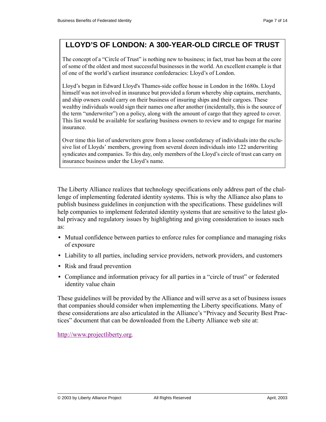### <span id="page-6-0"></span>**LLOYD'S OF LONDON: A 300-YEAR-OLD CIRCLE OF TRUST**

The concept of a "Circle of Trust" is nothing new to business; in fact, trust has been at the core of some of the oldest and most successful businesses in the world. An excellent example is that of one of the world's earliest insurance confederacies: Lloyd's of London.

Lloyd's began in Edward Lloyd's Thames-side coffee house in London in the 1680s. Lloyd himself was not involved in insurance but provided a forum whereby ship captains, merchants, and ship owners could carry on their business of insuring ships and their cargoes. These wealthy individuals would sign their names one after another (incidentally, this is the source of the term "underwriter") on a policy, along with the amount of cargo that they agreed to cover. This list would be available for seafaring business owners to review and to engage for marine insurance.

Over time this list of underwriters grew from a loose confederacy of individuals into the exclusive list of Lloyds' members, growing from several dozen individuals into 122 underwriting syndicates and companies. To this day, only members of the Lloyd's circle of trust can carry on insurance business under the Lloyd's name.

The Liberty Alliance realizes that technology specifications only address part of the challenge of implementing federated identity systems. This is why the Alliance also plans to publish business guidelines in conjunction with the specifications. These guidelines will help companies to implement federated identity systems that are sensitive to the latest global privacy and regulatory issues by highlighting and giving consideration to issues such as:

- Mutual confidence between parties to enforce rules for compliance and managing risks of exposure
- **•** Liability to all parties, including service providers, network providers, and customers
- **•** Risk and fraud prevention
- **•** Compliance and information privacy for all parties in a "circle of trust" or federated identity value chain

These guidelines will be provided by the Alliance and will serve as a set of business issues that companies should consider when implementing the Liberty specifications. Many of these considerations are also articulated in the Alliance's "Privacy and Security Best Practices" document that can be downloaded from the Liberty Alliance web site at:

http://www.projectliberty.org.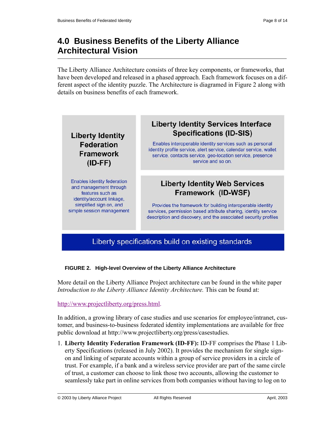## **4.0 Business Benefits of the Liberty Alliance Architectural Vision**

The Liberty Alliance Architecture consists of three key components, or frameworks, that have been developed and released in a phased approach. Each framework focuses on a different aspect of the identity puzzle. The Architecture is diagramed in [Figure 2](#page-7-0) along with details on business benefits of each framework.



# <span id="page-7-0"></span>**FIGURE 2. High-level Overview of the Liberty Alliance Architecture**

More detail on the Liberty Alliance Project architecture can be found in the white paper *Introduction to the Liberty Alliance Identity Architecture.* This can be found at:

http://www.projectliberty.org/press.html.

In addition, a growing library of case studies and use scenarios for employee/intranet, customer, and business-to-business federated identity implementations are available for free public download at http://www.projectliberty.org/press/casestudies.

1. **Liberty Identity Federation Framework (ID-FF):** ID-FF comprises the Phase 1 Liberty Specifications (released in July 2002). It provides the mechanism for single signon and linking of separate accounts within a group of service providers in a circle of trust. For example, if a bank and a wireless service provider are part of the same circle of trust, a customer can choose to link those two accounts, allowing the customer to seamlessly take part in online services from both companies without having to log on to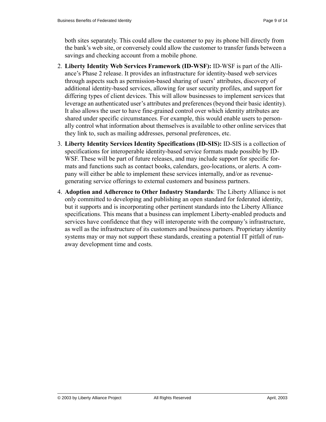both sites separately. This could allow the customer to pay its phone bill directly from the bank's web site, or conversely could allow the customer to transfer funds between a savings and checking account from a mobile phone.

- 2. **Liberty Identity Web Services Framework (ID-WSF):** ID-WSF is part of the Alliance's Phase 2 release. It provides an infrastructure for identity-based web services through aspects such as permission-based sharing of users' attributes, discovery of additional identity-based services, allowing for user security profiles, and support for differing types of client devices. This will allow businesses to implement services that leverage an authenticated user's attributes and preferences (beyond their basic identity). It also allows the user to have fine-grained control over which identity attributes are shared under specific circumstances. For example, this would enable users to personally control what information about themselves is available to other online services that they link to, such as mailing addresses, personal preferences, etc.
- 3. **Liberty Identity Services Identity Specifications (ID-SIS):** ID-SIS is a collection of specifications for interoperable identity-based service formats made possible by ID-WSF. These will be part of future releases, and may include support for specific formats and functions such as contact books, calendars, geo-locations, or alerts. A company will either be able to implement these services internally, and/or as revenuegenerating service offerings to external customers and business partners.
- 4. **Adoption and Adherence to Other Industry Standards**: The Liberty Alliance is not only committed to developing and publishing an open standard for federated identity, but it supports and is incorporating other pertinent standards into the Liberty Alliance specifications. This means that a business can implement Liberty-enabled products and services have confidence that they will interoperate with the company's infrastructure, as well as the infrastructure of its customers and business partners. Proprietary identity systems may or may not support these standards, creating a potential IT pitfall of runaway development time and costs.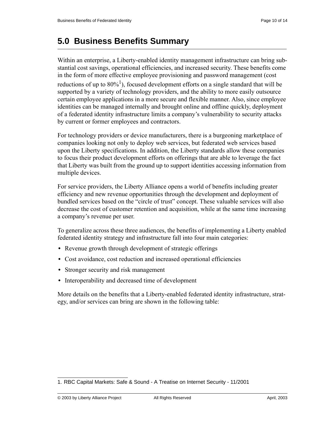### **5.0 Business Benefits Summary**

Within an enterprise, a Liberty-enabled identity management infrastructure can bring substantial cost savings, operational efficiencies, and increased security. These benefits come in the form of more effective employee provisioning and password management (cost reductions of up to  $80\frac{1}{1}$ , focused development efforts on a single standard that will be supported by a variety of technology providers, and the ability to more easily outsource certain employee applications in a more secure and flexible manner. Also, since employee identities can be managed internally and brought online and offline quickly, deployment of a federated identity infrastructure limits a company's vulnerability to security attacks by current or former employees and contractors.

For technology providers or device manufacturers, there is a burgeoning marketplace of companies looking not only to deploy web services, but federated web services based upon the Liberty specifications. In addition, the Liberty standards allow these companies to focus their product development efforts on offerings that are able to leverage the fact that Liberty was built from the ground up to support identities accessing information from multiple devices.

For service providers, the Liberty Alliance opens a world of benefits including greater efficiency and new revenue opportunities through the development and deployment of bundled services based on the "circle of trust" concept. These valuable services will also decrease the cost of customer retention and acquisition, while at the same time increasing a company's revenue per user.

To generalize across these three audiences, the benefits of implementing a Liberty enabled federated identity strategy and infrastructure fall into four main categories:

- **•** Revenue growth through development of strategic offerings
- Cost avoidance, cost reduction and increased operational efficiencies
- **•** Stronger security and risk management
- **•** Interoperability and decreased time of development

More details on the benefits that a Liberty-enabled federated identity infrastructure, strategy, and/or services can bring are shown in the following table:

<sup>1.</sup> RBC Capital Markets: Safe & Sound - A Treatise on Internet Security - 11/2001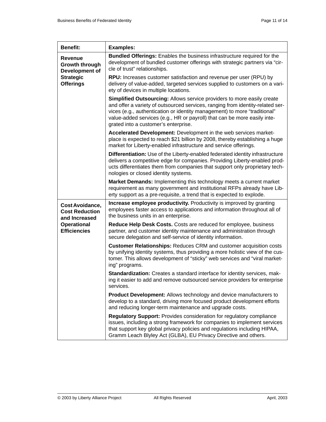| <b>Benefit:</b>                                                                                        | <b>Examples:</b>                                                                                                                                                                                                                                                                                                                                          |
|--------------------------------------------------------------------------------------------------------|-----------------------------------------------------------------------------------------------------------------------------------------------------------------------------------------------------------------------------------------------------------------------------------------------------------------------------------------------------------|
| <b>Revenue</b><br>Growth through<br>Development of<br><b>Strategic</b><br><b>Offerings</b>             | Bundled Offerings: Enables the business infrastructure required for the<br>development of bundled customer offerings with strategic partners via "cir-<br>cle of trust" relationships.                                                                                                                                                                    |
|                                                                                                        | <b>RPU:</b> Increases customer satisfaction and revenue per user (RPU) by<br>delivery of value-added, targeted services supplied to customers on a vari-<br>ety of devices in multiple locations.                                                                                                                                                         |
|                                                                                                        | Simplified Outsourcing: Allows service providers to more easily create<br>and offer a variety of outsourced services, ranging from identity-related ser-<br>vices (e.g., authentication or identity management) to more "traditional"<br>value-added services (e.g., HR or payroll) that can be more easily inte-<br>grated into a customer's enterprise. |
|                                                                                                        | Accelerated Development: Development in the web services market-<br>place is expected to reach \$21 billion by 2008, thereby establishing a huge<br>market for Liberty-enabled infrastructure and service offerings.                                                                                                                                      |
|                                                                                                        | Differentiation: Use of the Liberty-enabled federated identity infrastructure<br>delivers a competitive edge for companies. Providing Liberty-enabled prod-<br>ucts differentiates them from companies that support only proprietary tech-<br>nologies or closed identity systems.                                                                        |
|                                                                                                        | Market Demands: Implementing this technology meets a current market<br>requirement as many government and institutional RFPs already have Lib-<br>erty support as a pre-requisite, a trend that is expected to explode.                                                                                                                                   |
| Cost Avoidance,<br><b>Cost Reduction</b><br>and Increased<br><b>Operational</b><br><b>Efficiencies</b> | <b>Increase employee productivity.</b> Productivity is improved by granting<br>employees faster access to applications and information throughout all of<br>the business units in an enterprise.                                                                                                                                                          |
|                                                                                                        | Reduce Help Desk Costs. Costs are reduced for employee, business<br>partner, and customer identity maintenance and administration through<br>secure delegation and self-service of identity information.                                                                                                                                                  |
|                                                                                                        | <b>Customer Relationships: Reduces CRM and customer acquisition costs</b><br>by unifying identity systems, thus providing a more holistic view of the cus-<br>tomer. This allows development of "sticky" web services and "viral market-<br>ing" programs.                                                                                                |
|                                                                                                        | Standardization: Creates a standard interface for identity services, mak-<br>ing it easier to add and remove outsourced service providers for enterprise<br>services.                                                                                                                                                                                     |
|                                                                                                        | Product Development: Allows technology and device manufacturers to<br>develop to a standard, driving more focused product development efforts<br>and reducing longer-term maintenance and upgrade costs.                                                                                                                                                  |
|                                                                                                        | <b>Regulatory Support: Provides consideration for regulatory compliance</b><br>issues, including a strong framework for companies to implement services<br>that support key global privacy policies and regulations including HIPAA,<br>Gramm Leach Blyley Act (GLBA), EU Privacy Directive and others.                                                   |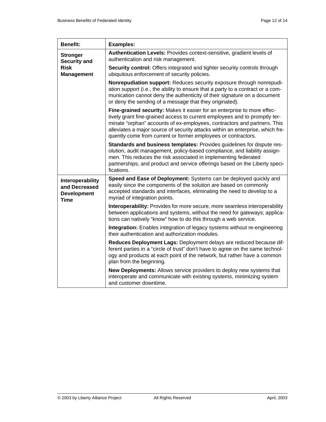| <b>Benefit:</b>                                                            | <b>Examples:</b>                                                                                                                                                                                                                                                                                                                                                                     |
|----------------------------------------------------------------------------|--------------------------------------------------------------------------------------------------------------------------------------------------------------------------------------------------------------------------------------------------------------------------------------------------------------------------------------------------------------------------------------|
| <b>Stronger</b><br><b>Security and</b><br><b>Risk</b><br><b>Management</b> | Authentication Levels: Provides context-sensitive, gradient levels of<br>authentication and risk management.                                                                                                                                                                                                                                                                         |
|                                                                            | Security control: Offers integrated and tighter security controls through<br>ubiquitous enforcement of security policies.                                                                                                                                                                                                                                                            |
|                                                                            | Nonrepudiation support: Reduces security exposure through nonrepudi-<br>ation support (i.e., the ability to ensure that a party to a contract or a com-<br>munication cannot deny the authenticity of their signature on a document<br>or deny the sending of a message that they originated).                                                                                       |
|                                                                            | Fine-grained security: Makes it easier for an enterprise to more effec-<br>tively grant fine-grained access to current employees and to promptly ter-<br>minate "orphan" accounts of ex-employees, contractors and partners. This<br>alleviates a major source of security attacks within an enterprise, which fre-<br>quently come from current or former employees or contractors. |
|                                                                            | Standards and business templates: Provides guidelines for dispute res-<br>olution, audit management, policy-based compliance, and liability assign-<br>men. This reduces the risk associated in implementing federated<br>partnerships, and product and service offerings based on the Liberty speci-<br>fications.                                                                  |
| Interoperability<br>and Decreased<br><b>Development</b><br><b>Time</b>     | Speed and Ease of Deployment: Systems can be deployed quickly and<br>easily since the components of the solution are based on commonly<br>accepted standards and interfaces, eliminating the need to develop to a<br>myriad of integration points.                                                                                                                                   |
|                                                                            | Interoperability: Provides for more secure, more seamless interoperability<br>between applications and systems, without the need for gateways; applica-<br>tions can natively "know" how to do this through a web service.                                                                                                                                                           |
|                                                                            | Integration: Enables integration of legacy systems without re-engineering<br>their authentication and authorization modules.                                                                                                                                                                                                                                                         |
|                                                                            | Reduces Deployment Lags: Deployment delays are reduced because dif-<br>ferent parties in a "circle of trust" don't have to agree on the same technol-<br>ogy and products at each point of the network, but rather have a common<br>plan from the beginning.                                                                                                                         |
|                                                                            | New Deployments: Allows service providers to deploy new systems that<br>interoperate and communicate with existing systems, minimizing system<br>and customer downtime.                                                                                                                                                                                                              |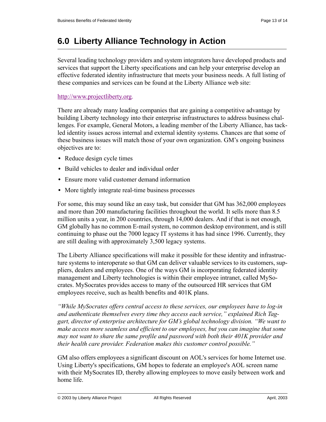## **6.0 Liberty Alliance Technology in Action**

Several leading technology providers and system integrators have developed products and services that support the Liberty specifications and can help your enterprise develop an effective federated identity infrastructure that meets your business needs. A full listing of these companies and services can be found at the Liberty Alliance web site:

#### [http://www.projectliberty.org](www.projectliberty.org).

There are already many leading companies that are gaining a competitive advantage by building Liberty technology into their enterprise infrastructures to address business challenges. For example, General Motors, a leading member of the Liberty Alliance, has tackled identity issues across internal and external identity systems. Chances are that some of these business issues will match those of your own organization. GM's ongoing business objectives are to:

- Reduce design cycle times
- **•** Build vehicles to dealer and individual order
- Ensure more valid customer demand information
- More tightly integrate real-time business processes

For some, this may sound like an easy task, but consider that GM has 362,000 employees and more than 200 manufacturing facilities throughout the world. It sells more than 8.5 million units a year, in 200 countries, through 14,000 dealers. And if that is not enough, GM globally has no common E-mail system, no common desktop environment, and is still continuing to phase out the 7000 legacy IT systems it has had since 1996. Currently, they are still dealing with approximately 3,500 legacy systems.

The Liberty Alliance specifications will make it possible for these identity and infrastructure systems to interoperate so that GM can deliver valuable services to its customers, suppliers, dealers and employees. One of the ways GM is incorporating federated identity management and Liberty technologies is within their employee intranet, called MySocrates. MySocrates provides access to many of the outsourced HR services that GM employees receive, such as health benefits and 401K plans.

*"While MySocrates offers central access to these services, our employees have to log-in and authenticate themselves every time they access each service," explained Rich Taggart, director of enterprise architecture for GM's global technology division. "We want to make access more seamless and efficient to our employees, but you can imagine that some may not want to share the same profile and password with both their 401K provider and their health care provider. Federation makes this customer control possible."*

GM also offers employees a significant discount on AOL's services for home Internet use. Using Liberty's specifications, GM hopes to federate an employee's AOL screen name with their MySocrates ID, thereby allowing employees to move easily between work and home life.